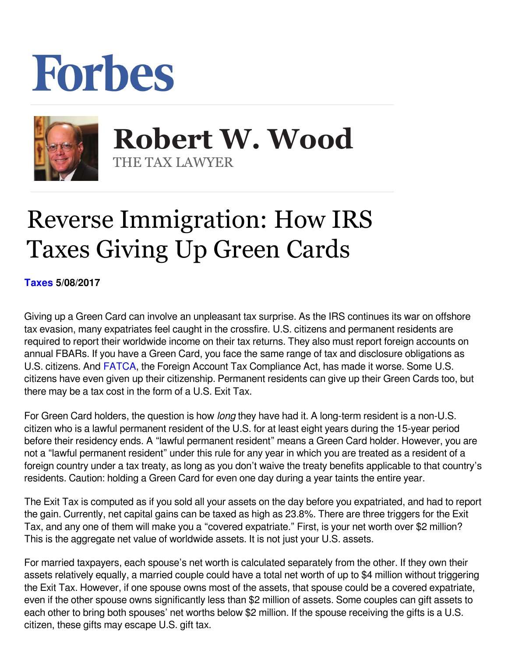## Forbes



 **Robert W. Wood** THE TAX LAWYER

## Reverse Immigration: How IRS Taxes Giving Up Green Cards

**[Taxes](https://www.forbes.com/taxes) 5/08/2017** 

Giving up a Green Card can involve an unpleasant tax surprise. As the IRS continues its war on offshore tax evasion, many expatriates feel caught in the crossfire. U.S. citizens and permanent residents are required to report their worldwide income on their tax returns. They also must report foreign accounts on annual FBARs. If you have a Green Card, you face the same range of tax and disclosure obligations as U.S. citizens. And FATCA, the Foreign Account Tax Compliance Act, has made it worse. Some U.S. citizens have even given up their citizenship. Permanent residents can give up their Green Cards too, but there may be a tax cost in the form of a U.S. Exit Tax.

For Green Card holders, the question is how *long* they have had it. A long-term resident is a non-U.S. citizen who is a lawful permanent resident of the U.S. for at least eight years during the 15-year period before their residency ends. A "lawful permanent resident" means a Green Card holder. However, you are not a "lawful permanent resident" under this rule for any year in which you are treated as a resident of a foreign country under a tax treaty, as long as you don't waive the treaty benefits applicable to that country's residents. Caution: holding a Green Card for even one day during a year taints the entire year.

The Exit Tax is computed as if you sold all your assets on the day before you expatriated, and had to report the gain. Currently, net capital gains can be taxed as high as 23.8%. There are three triggers for the Exit Tax, and any one of them will make you a "covered expatriate." First, is your net worth over \$2 million? This is the aggregate net value of worldwide assets. It is not just your U.S. assets.

For married taxpayers, each spouse's net worth is calculated separately from the other. If they own their assets relatively equally, a married couple could have a total net worth of up to \$4 million without triggering the Exit Tax. However, if one spouse owns most of the assets, that spouse could be a covered expatriate, even if the other spouse owns significantly less than \$2 million of assets. Some couples can gift assets to each other to bring both spouses' net worths below \$2 million. If the spouse receiving the gifts is a U.S. citizen, these gifts may escape U.S. gift tax.